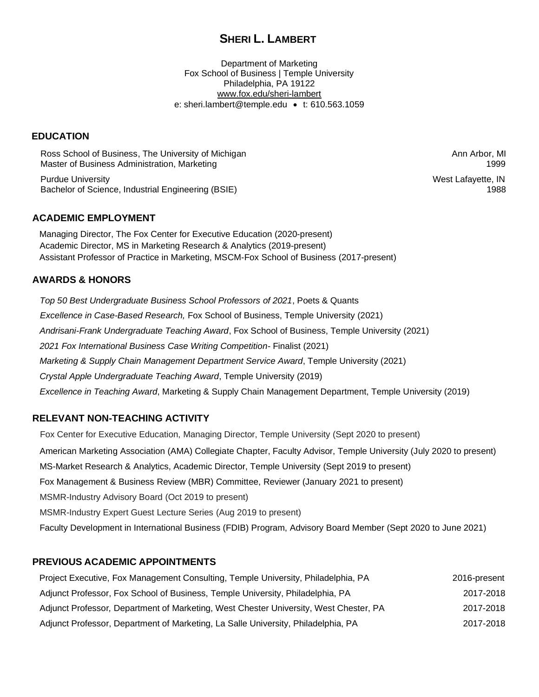# **SHERI L. LAMBERT**

Department of Marketing Fox School of Business | Temple University Philadelphia, PA 19122 [www.fox.edu/sheri-lambert](https://www.fox.temple.edu/about-fox/directory/sheri-lambert/) e: sheri.lambert@temple.edu • t: 610.563.1059

#### **EDUCATION**

Ross School of Business, The University of Michigan Ann Arbor, MI Ann Arbor, MI Ann Arbor, MI Master of Business Administration, Marketing 1999 and 1999 and 1999 and 1999 and 1999 and 1999 and 1999 and 1999

Purdue University West Lafayette, IN Bachelor of Science, Industrial Engineering (BSIE) 1988

#### **ACADEMIC EMPLOYMENT**

Managing Director, The Fox Center for Executive Education (2020-present) Academic Director, MS in Marketing Research & Analytics (2019-present) Assistant Professor of Practice in Marketing, MSCM-Fox School of Business (2017-present)

#### **AWARDS & HONORS**

*Top 50 Best Undergraduate Business School Professors of 2021*, Poets & Quants *Excellence in Case-Based Research,* Fox School of Business, Temple University (2021) *Andrisani-Frank Undergraduate Teaching Award*, Fox School of Business, Temple University (2021) *2021 Fox International Business Case Writing Competition*- Finalist (2021) *Marketing & Supply Chain Management Department Service Award*, Temple University (2021) *Crystal Apple Undergraduate Teaching Award*, Temple University (2019) *Excellence in Teaching Award*, Marketing & Supply Chain Management Department, Temple University (2019)

#### **RELEVANT NON-TEACHING ACTIVITY**

Fox Center for Executive Education, Managing Director, Temple University (Sept 2020 to present) American Marketing Association (AMA) Collegiate Chapter, Faculty Advisor, Temple University (July 2020 to present) MS-Market Research & Analytics, Academic Director, Temple University (Sept 2019 to present) Fox Management & Business Review (MBR) Committee, Reviewer (January 2021 to present) MSMR-Industry Advisory Board (Oct 2019 to present) MSMR-Industry Expert Guest Lecture Series (Aug 2019 to present) Faculty Development in International Business (FDIB) Program, Advisory Board Member (Sept 2020 to June 2021)

# **PREVIOUS ACADEMIC APPOINTMENTS**

| Project Executive, Fox Management Consulting, Temple University, Philadelphia, PA     | 2016-present |
|---------------------------------------------------------------------------------------|--------------|
| Adjunct Professor, Fox School of Business, Temple University, Philadelphia, PA        | 2017-2018    |
| Adjunct Professor, Department of Marketing, West Chester University, West Chester, PA | 2017-2018    |
| Adjunct Professor, Department of Marketing, La Salle University, Philadelphia, PA     | 2017-2018    |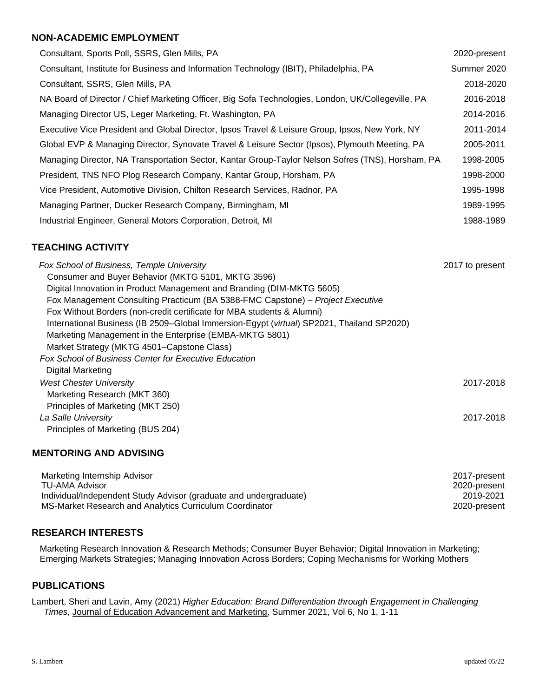#### **NON-ACADEMIC EMPLOYMENT**

| Consultant, Sports Poll, SSRS, Glen Mills, PA                                                      | 2020-present |
|----------------------------------------------------------------------------------------------------|--------------|
| Consultant, Institute for Business and Information Technology (IBIT), Philadelphia, PA             | Summer 2020  |
| Consultant, SSRS, Glen Mills, PA                                                                   | 2018-2020    |
| NA Board of Director / Chief Marketing Officer, Big Sofa Technologies, London, UK/Collegeville, PA | 2016-2018    |
| Managing Director US, Leger Marketing, Ft. Washington, PA                                          | 2014-2016    |
| Executive Vice President and Global Director, Ipsos Travel & Leisure Group, Ipsos, New York, NY    | 2011-2014    |
| Global EVP & Managing Director, Synovate Travel & Leisure Sector (Ipsos), Plymouth Meeting, PA     | 2005-2011    |
| Managing Director, NA Transportation Sector, Kantar Group-Taylor Nelson Sofres (TNS), Horsham, PA  | 1998-2005    |
| President, TNS NFO Plog Research Company, Kantar Group, Horsham, PA                                | 1998-2000    |
| Vice President, Automotive Division, Chilton Research Services, Radnor, PA                         | 1995-1998    |
| Managing Partner, Ducker Research Company, Birmingham, MI                                          | 1989-1995    |
| Industrial Engineer, General Motors Corporation, Detroit, MI                                       | 1988-1989    |

# **TEACHING ACTIVITY**

| Fox School of Business, Temple University                                                 | 2017 to present |
|-------------------------------------------------------------------------------------------|-----------------|
| Consumer and Buyer Behavior (MKTG 5101, MKTG 3596)                                        |                 |
| Digital Innovation in Product Management and Branding (DIM-MKTG 5605)                     |                 |
| Fox Management Consulting Practicum (BA 5388-FMC Capstone) - Project Executive            |                 |
| Fox Without Borders (non-credit certificate for MBA students & Alumni)                    |                 |
| International Business (IB 2509-Global Immersion-Egypt (virtual) SP2021, Thailand SP2020) |                 |
| Marketing Management in the Enterprise (EMBA-MKTG 5801)                                   |                 |
| Market Strategy (MKTG 4501-Capstone Class)                                                |                 |
| <b>Fox School of Business Center for Executive Education</b>                              |                 |
| Digital Marketing                                                                         |                 |
| <b>West Chester University</b>                                                            | 2017-2018       |
| Marketing Research (MKT 360)                                                              |                 |
| Principles of Marketing (MKT 250)                                                         |                 |
| La Salle University                                                                       | 2017-2018       |
| Principles of Marketing (BUS 204)                                                         |                 |

#### **MENTORING AND ADVISING**

| Marketing Internship Advisor                                      | 2017-present |
|-------------------------------------------------------------------|--------------|
| TU-AMA Advisor                                                    | 2020-present |
| Individual/Independent Study Advisor (graduate and undergraduate) | 2019-2021    |
| MS-Market Research and Analytics Curriculum Coordinator           | 2020-present |

#### **RESEARCH INTERESTS**

Marketing Research Innovation & Research Methods; Consumer Buyer Behavior; Digital Innovation in Marketing; Emerging Markets Strategies; Managing Innovation Across Borders; Coping Mechanisms for Working Mothers

## **PUBLICATIONS**

Lambert, Sheri and Lavin, Amy (2021) *Higher Education: Brand Differentiation through Engagement in Challenging Times*, Journal of Education Advancement and Marketing, Summer 2021, Vol 6, No 1, 1-11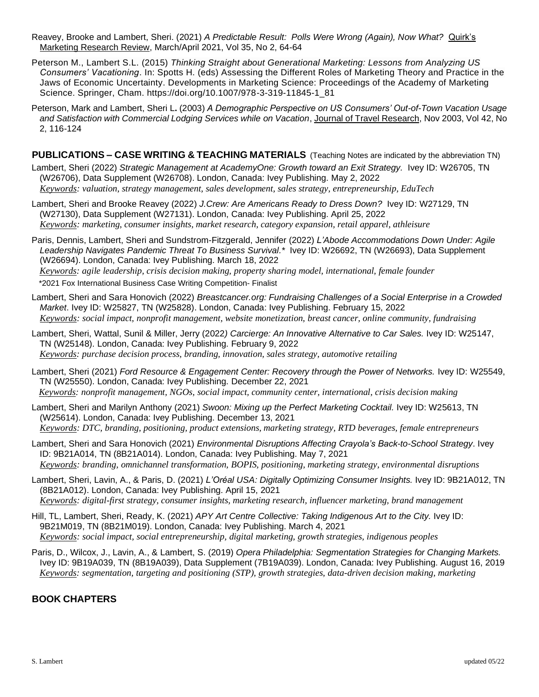- Reavey, Brooke and Lambert, Sheri. (2021) *A Predictable Result: Polls Were Wrong (Again), Now What?* Quirk's Marketing Research Review, March/April 2021, Vol 35, No 2, 64-64
- Peterson M., Lambert S.L. (2015) *Thinking Straight about Generational Marketing: Lessons from Analyzing US Consumers' Vacationing*. In: Spotts H. (eds) Assessing the Different Roles of Marketing Theory and Practice in the Jaws of Economic Uncertainty. Developments in Marketing Science: Proceedings of the Academy of Marketing Science. Springer, Cham. https://doi.org/10.1007/978-3-319-11845-1\_81
- Peterson, Mark and Lambert, Sheri L**.** (2003) *A Demographic Perspective on US Consumers' Out-of-Town Vacation Usage and Satisfaction with Commercial Lodging Services while on Vacation*, Journal of Travel Research, Nov 2003, Vol 42, No 2, 116-124

**PUBLICATIONS – CASE WRITING & TEACHING MATERIALS** (Teaching Notes are indicated by the abbreviation TN)

Lambert, Sheri (2022) *Strategic Management at AcademyOne: Growth toward an Exit Strategy.* Ivey ID: W26705, TN (W26706), Data Supplement (W26708). London, Canada: Ivey Publishing. May 2, 2022 *Keywords: valuation, strategy management, sales development, sales strategy, entrepreneurship, EduTech*

- Lambert, Sheri and Brooke Reavey (2022) *J.Crew: Are Americans Ready to Dress Down?* Ivey ID: W27129, TN (W27130), Data Supplement (W27131). London, Canada: Ivey Publishing. April 25, 2022 *Keywords: marketing, consumer insights, market research, category expansion, retail apparel, athleisure*
- Paris, Dennis, Lambert, Sheri and Sundstrom-Fitzgerald, Jennifer (2022) *L'Abode Accommodations Down Under: Agile*  Leadership Navigates Pandemic Threat To Business Survival.\* Ivey ID: W26692, TN (W26693), Data Supplement (W26694). London, Canada: Ivey Publishing. March 18, 2022

*Keywords: agile leadership, crisis decision making, property sharing model, international, female founder* \*2021 Fox International Business Case Writing Competition- Finalist

- Lambert, Sheri and Sara Honovich (2022) *Breastcancer.org: Fundraising Challenges of a Social Enterprise in a Crowded Market*. Ivey ID: W25827, TN (W25828). London, Canada: Ivey Publishing. February 15, 2022 *Keywords: social impact, nonprofit management, website monetization, breast cancer, online community, fundraising*
- Lambert, Sheri, Wattal, Sunil & Miller, Jerry (2022*) Carcierge: An Innovative Alternative to Car Sales.* Ivey ID: W25147, TN (W25148). London, Canada: Ivey Publishing. February 9, 2022 *Keywords: purchase decision process, branding, innovation, sales strategy, automotive retailing*
- Lambert, Sheri (2021) *Ford Resource & Engagement Center: Recovery through the Power of Networks.* Ivey ID: W25549, TN (W25550). London, Canada: Ivey Publishing. December 22, 2021  *Keywords: nonprofit management, NGOs, social impact, community center, international, crisis decision making*
- Lambert, Sheri and Marilyn Anthony (2021) *Swoon: Mixing up the Perfect Marketing Cocktail.* Ivey ID: W25613, TN (W25614). London, Canada: Ivey Publishing. December 13, 2021 *Keywords: DTC, branding, positioning, product extensions, marketing strategy, RTD beverages, female entrepreneurs*
- Lambert, Sheri and Sara Honovich (2021) *Environmental Disruptions Affecting Crayola's Back-to-School Strategy*. Ivey ID: 9B21A014, TN (8B21A014). London, Canada: Ivey Publishing. May 7, 2021 *Keywords: branding, omnichannel transformation, BOPIS, positioning, marketing strategy, environmental disruptions*
- Lambert, Sheri, Lavin, A., & Paris, D. (2021) *L'Oréal USA: Digitally Optimizing Consumer Insights.* Ivey ID: 9B21A012, TN (8B21A012). London, Canada: Ivey Publishing. April 15, 2021 *Keywords: digital-first strategy, consumer insights, marketing research, influencer marketing, brand management*
- Hill, TL, Lambert, Sheri, Ready, K. (2021) *APY Art Centre Collective: Taking Indigenous Art to the City.* Ivey ID: 9B21M019, TN (8B21M019). London, Canada: Ivey Publishing. March 4, 2021 *Keywords: social impact, social entrepreneurship, digital marketing, growth strategies, indigenous peoples*
- Paris, D., Wilcox, J., Lavin, A., & Lambert, S. (2019) *Opera Philadelphia: Segmentation Strategies for Changing Markets.*  Ivey ID: 9B19A039, TN (8B19A039), Data Supplement (7B19A039). London, Canada: Ivey Publishing. August 16, 2019 *Keywords: segmentation, targeting and positioning (STP), growth strategies, data-driven decision making, marketing*

# **BOOK CHAPTERS**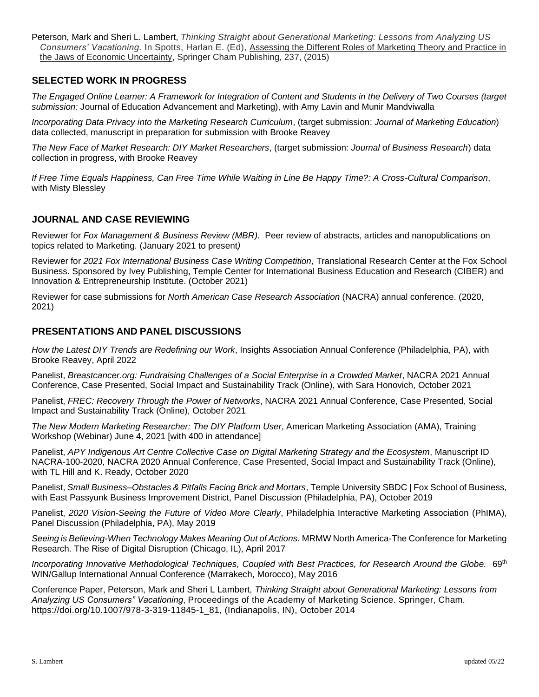Peterson, Mark and Sheri L. Lambert, *Thinking Straight about Generational Marketing: Lessons from Analyzing US Consumers' Vacationing.* In Spotts, Harlan E. (Ed), Assessing the Different Roles of Marketing Theory and Practice in the Jaws of Economic Uncertainty, Springer Cham Publishing, 237, (2015)

# **SELECTED WORK IN PROGRESS**

*The Engaged Online Learner: A Framework for Integration of Content and Students in the Delivery of Two Courses (target submission:* Journal of Education Advancement and Marketing), with Amy Lavin and Munir Mandviwalla

*Incorporating Data Privacy into the Marketing Research Curriculum*, (target submission: *Journal of Marketing Education*) data collected, manuscript in preparation for submission with Brooke Reavey

*The New Face of Market Research: DIY Market Researchers*, (target submission: *Journal of Business Research*) data collection in progress, with Brooke Reavey

*If Free Time Equals Happiness, Can Free Time While Waiting in Line Be Happy Time?: A Cross-Cultural Comparison*, with Misty Blessley

#### **JOURNAL AND CASE REVIEWING**

Reviewer for *Fox Management & Business Review (MBR).* Peer review of abstracts, articles and nanopublications on topics related to Marketing. (January 2021 to present*)*

Reviewer for *2021 Fox International Business Case Writing Competition*, Translational Research Center at the Fox School Business. Sponsored by Ivey Publishing, Temple Center for International Business Education and Research (CIBER) and Innovation & Entrepreneurship Institute. (October 2021)

Reviewer for case submissions for *North American Case Research Association* (NACRA) annual conference. (2020, 2021)

#### **PRESENTATIONS AND PANEL DISCUSSIONS**

*How the Latest DIY Trends are Redefining our Work*, Insights Association Annual Conference (Philadelphia, PA), with Brooke Reavey, April 2022

Panelist, *Breastcancer.org: Fundraising Challenges of a Social Enterprise in a Crowded Market*, NACRA 2021 Annual Conference, Case Presented, Social Impact and Sustainability Track (Online), with Sara Honovich, October 2021

Panelist, *FREC: Recovery Through the Power of Networks*, NACRA 2021 Annual Conference, Case Presented, Social Impact and Sustainability Track (Online), October 2021

*The New Modern Marketing Researcher: The DIY Platform User*, American Marketing Association (AMA), Training Workshop (Webinar) June 4, 2021 [with 400 in attendance]

Panelist, *APY Indigenous Art Centre Collective Case on Digital Marketing Strategy and the Ecosystem*, Manuscript ID NACRA-100-2020, NACRA 2020 Annual Conference, Case Presented, Social Impact and Sustainability Track (Online), with TL Hill and K. Ready, October 2020

Panelist, *Small Business–Obstacles & Pitfalls Facing Brick and Mortars*, Temple University SBDC | Fox School of Business, with East Passyunk Business Improvement District, Panel Discussion (Philadelphia, PA), October 2019

Panelist, *2020 Vision-Seeing the Future of Video More Clearly*, Philadelphia Interactive Marketing Association (PhIMA), Panel Discussion (Philadelphia, PA), May 2019

*Seeing is Believing-When Technology Makes Meaning Out of Actions.* MRMW North America-The Conference for Marketing Research. The Rise of Digital Disruption (Chicago, IL), April 2017

Incorporating Innovative Methodological Techniques, Coupled with Best Practices, for Research Around the Globe.  $69<sup>th</sup>$ WIN/Gallup International Annual Conference (Marrakech, Morocco), May 2016

Conference Paper, Peterson, Mark and Sheri L Lambert, *Thinking Straight about Generational Marketing: Lessons from Analyzing US Consumers" Vacationing*, Proceedings of the Academy of Marketing Science. Springer, Cham. [https://doi.org/10.1007/978-3-319-11845-1\\_81,](https://doi.org/10.1007/978-3-319-11845-1_81) (Indianapolis, IN), October 2014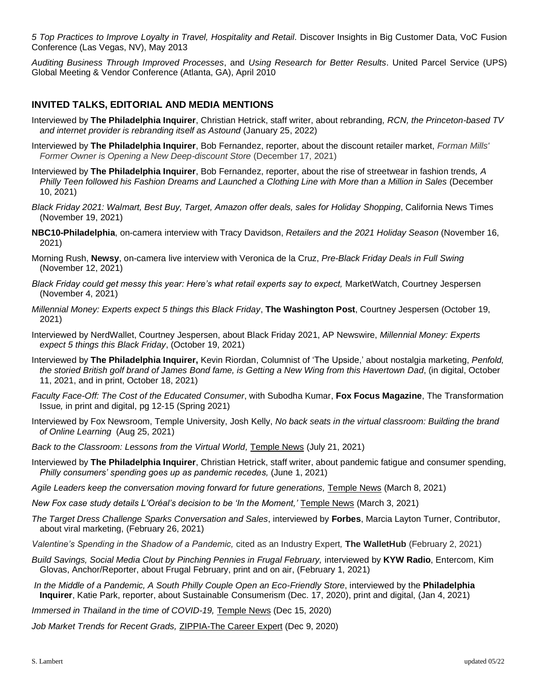*5 Top Practices to Improve Loyalty in Travel, Hospitality and Retail.* Discover Insights in Big Customer Data, VoC Fusion Conference (Las Vegas, NV), May 2013

*Auditing Business Through Improved Processes*, and *Using Research for Better Results*. United Parcel Service (UPS) Global Meeting & Vendor Conference (Atlanta, GA), April 2010

### **INVITED TALKS, EDITORIAL AND MEDIA MENTIONS**

- Interviewed by **The Philadelphia Inquirer**, Christian Hetrick, staff writer, about rebranding*, RCN, the Princeton-based TV and internet provider is rebranding itself as Astound* (January 25, 2022)
- Interviewed by **The Philadelphia Inquirer**, Bob Fernandez, reporter, about the discount retailer market, *Forman Mills' Former Owner is Opening a New Deep-discount Store* (December 17, 2021)
- Interviewed by **The Philadelphia Inquirer**, Bob Fernandez, reporter, about the rise of streetwear in fashion trends*, A Philly Teen followed his Fashion Dreams and Launched a Clothing Line with More than a Million in Sales* (December 10, 2021)
- *Black Friday 2021: Walmart, Best Buy, Target, Amazon offer deals, sales for Holiday Shopping*, California News Times (November 19, 2021)
- **NBC10-Philadelphia**, on-camera interview with Tracy Davidson, *Retailers and the 2021 Holiday Season* (November 16, 2021)
- Morning Rush, **Newsy**, on-camera live interview with Veronica de la Cruz, *Pre-Black Friday Deals in Full Swing*  (November 12, 2021)
- *Black Friday could get messy this year: Here's what retail experts say to expect,* MarketWatch, Courtney Jespersen (November 4, 2021)
- *Millennial Money: Experts expect 5 things this Black Friday*, **The Washington Post**, Courtney Jespersen (October 19, 2021)
- Interviewed by NerdWallet, Courtney Jespersen, about Black Friday 2021, AP Newswire, *Millennial Money: Experts expect 5 things this Black Friday*, (October 19, 2021)
- Interviewed by **The Philadelphia Inquirer,** Kevin Riordan, Columnist of 'The Upside,' about nostalgia marketing, *Penfold, the storied British golf brand of James Bond fame, is Getting a New Wing from this Havertown Dad*, (in digital, October 11, 2021, and in print, October 18, 2021)
- *Faculty Face-Off: The Cost of the Educated Consumer*, with Subodha Kumar, **Fox Focus Magazine**, The Transformation Issue*,* in print and digital, pg 12-15 (Spring 2021)
- Interviewed by Fox Newsroom, Temple University, Josh Kelly, *No back seats in the virtual classroom: Building the brand of Online Learning* (Aug 25, 2021)
- *Back to the Classroom: Lessons from the Virtual World,* [Temple News](https://www.fox.temple.edu/posts/2021/07/back-to-the-classroom-lessons-from-the-virtual-world/) (July 21, 2021)
- Interviewed by **The Philadelphia Inquirer**, Christian Hetrick, staff writer, about pandemic fatigue and consumer spending, *Philly consumers' spending goes up as pandemic recedes,* (June 1, 2021)
- *Agile Leaders keep the conversation moving forward for future generations,* [Temple News](https://www.fox.temple.edu/posts/2021/03/agile-leaders-keep-the-conversation-moving-forward-for-future-generations/) (March 8, 2021)
- *New Fox case study details L'Oréal's decision to be 'In the Moment,'* [Temple News](https://www.fox.temple.edu/posts/2021/03/new-fox-case-study-details-loreals-decision-to-be-in-the-moment/?utm_medium=email&utm_campaign=Fox%20Brief%20March%205&utm_content=Fox%20Brief%20March%205+CID_e8b2d49129245813f0f4012d1d095dc6&utm_source=Campaign%20Monitor&utm_term=a%20new%20case%20study&https://www.fox.temple.edu/?utm_source=Campaign%20Monitor&utm_medium=Email&utm_campaign=FoxBrief) (March 3, 2021)
- *The Target Dress Challenge Sparks Conversation and Sales*, interviewed by **Forbes**, Marcia Layton Turner, Contributor, about viral marketing, (February 26, 2021)
- *Valentine's Spending in the Shadow of a Pandemic,* cited as an Industry Expert*,* **The WalletHub** (February 2, 2021)
- *Build Savings, Social Media Clout by Pinching Pennies in Frugal February,* interviewed by **KYW Radio**, Entercom, Kim Glovas, Anchor/Reporter, about Frugal February, print and on air, (February 1, 2021)
- *In the Middle of a Pandemic, A South Philly Couple Open an Eco-Friendly Store*, interviewed by the **Philadelphia Inquirer**, Katie Park, reporter, about Sustainable Consumerism (Dec. 17, 2020), print and digital, (Jan 4, 2021)
- *Immersed in Thailand in the time of COVID-19,* [Temple News](https://www.fox.temple.edu/posts/2020/12/immersed-in-thailand-in-the-time-of-covid-19/?utm_medium=email&utm_campaign=Fox%20Brief%20December%2018&utm_content=Fox%20Brief%20December%2018+CID_5262109eafde052a65d7aead94462a10&utm_source=Campaign%20Monitor&utm_term=traveled%20to%20Bangkok%20Thailand&https://www.fox.temple.edu/?utm_source=Campaign%20Monitor&utm_medium=Email&utm_campaign=FoxBrief) (Dec 15, 2020)

*Job Market Trends for Recent Grads,* [ZIPPIA-The Career Expert](https://www.zippia.com/marketing-consultant-jobs/trends/) (Dec 9, 2020)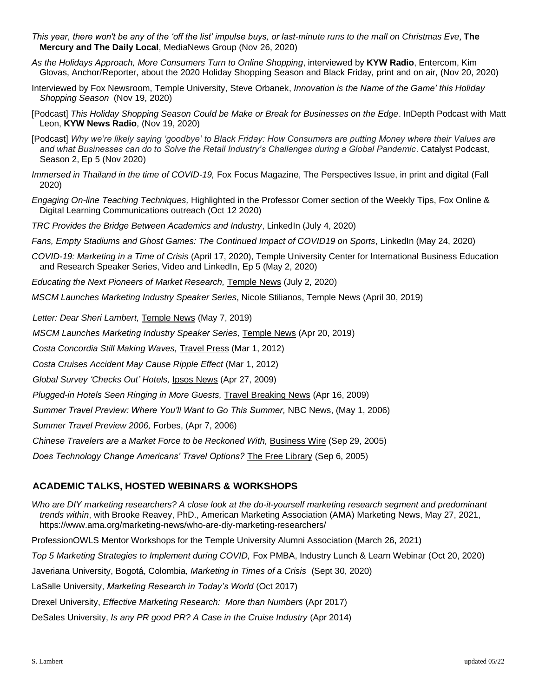- *This year, there won't be any of the 'off the list' impulse buys, or last-minute runs to the mall on Christmas Eve*, **The Mercury and The Daily Local**, MediaNews Group (Nov 26, 2020)
- *As the Holidays Approach, More Consumers Turn to Online Shopping*, interviewed by **KYW Radio**, Entercom, Kim Glovas, Anchor/Reporter, about the 2020 Holiday Shopping Season and Black Friday*,* print and on air, (Nov 20, 2020)
- Interviewed by Fox Newsroom, Temple University, Steve Orbanek, *Innovation is the Name of the Game' this Holiday Shopping Season* (Nov 19, 2020)
- [Podcast] *This Holiday Shopping Season Could be Make or Break for Businesses on the Edge*. InDepth Podcast with Matt Leon, **KYW News Radio**, (Nov 19, 2020)
- [Podcast] *Why we're likely saying 'goodbye' to Black Friday: How Consumers are putting Money where their Values are and what Businesses can do to Solve the Retail Industry's Challenges during a Global Pandemic*. Catalyst Podcast, Season 2, Ep 5 (Nov 2020)
- *Immersed in Thailand in the time of COVID-19,* Fox Focus Magazine, The Perspectives Issue, in print and digital (Fall 2020)
- *Engaging On-line Teaching Techniques,* Highlighted in the Professor Corner section of the Weekly Tips, Fox Online & Digital Learning Communications outreach (Oct 12 2020)
- *TRC Provides the Bridge Between Academics and Industry*, LinkedIn (July 4, 2020)
- *Fans, Empty Stadiums and Ghost Games: The Continued Impact of COVID19 on Sports*, LinkedIn (May 24, 2020)
- *COVID-19: Marketing in a Time of Crisis* (April 17, 2020), Temple University Center for International Business Education and Research Speaker Series, Video and LinkedIn, Ep 5 (May 2, 2020)
- *Educating the Next Pioneers of Market Research,* [Temple News](https://www.fox.temple.edu/posts/2020/07/educating-the-next-pioneers-of-market-research/) (July 2, 2020)
- *MSCM Launches Marketing Industry Speaker Series*, Nicole Stilianos, Temple News (April 30, 2019)

*Letter: Dear Sheri Lambert,* [Temple News](https://temple-news.com/letter-dear-sheri-lambert/) (May 7, 2019)

*MSCM Launches Marketing Industry Speaker Series,* [Temple News](https://www.fox.temple.edu/posts/2019/04/mscm-launches-speaker-series/) (Apr 20, 2019)

*Costa Concordia Still Making Waves,* [Travel Press](https://www.travelpress.com/costa-concordia-still-making-waves-ipsos/#.Xvf24hNKi8V) (Mar 1, 2012)

*Costa Cruises Accident May Cause Ripple Effect* (Mar 1, 2012)

*Global Survey 'Checks Out' Hotels,* [Ipsos News](https://www.travelpress.com/costa-concordia-still-making-waves-ipsos/#.Xvf24hNKi8V) (Apr 27, 2009)

*Plugged-in Hotels Seen Ringing in More Guests,* [Travel Breaking News](https://www.travelbreakingnews.net/2009/04/global-survey-checks-out-hotels/) (Apr 16, 2009)

*Summer Travel Preview: Where You'll Want to Go This Summer, NBC News, (May 1, 2006)* 

*Summer Travel Preview 2006,* Forbes, (Apr 7, 2006)

*Chinese Travelers are a Market Force to be Reckoned With,* [Business Wire](https://www.businesswire.com/news/home/20050929005101/en/Study-Shows-Chinese-Travelers-Market-Force-Reckoned) (Sep 29, 2005)

*Does Technology Change Americans' Travel Options?* [The Free Library](https://www.thefreelibrary.com/Does+Technology+Change+Americans%27+Travel+Options+For+Better+or+For...-a0135837646) (Sep 6, 2005)

### **ACADEMIC TALKS, HOSTED WEBINARS & WORKSHOPS**

*Who are DIY marketing researchers? A close look at the do-it-yourself marketing research segment and predominant trends within*, with Brooke Reavey, PhD., American Marketing Association (AMA) Marketing News, May 27, 2021, <https://www.ama.org/marketing-news/who-are-diy-marketing-researchers/>

ProfessionOWLS Mentor Workshops for the Temple University Alumni Association (March 26, 2021)

Top 5 Marketing Strategies to Implement during COVID, Fox PMBA, Industry Lunch & Learn Webinar (Oct 20, 2020)

Javeriana University, Bogotá, Colombia*, Marketing in Times of a Crisis* (Sept 30, 2020)

LaSalle University, *Marketing Research in Today's World* (Oct 2017)

Drexel University, *Effective Marketing Research: More than Numbers* (Apr 2017)

DeSales University, *Is any PR good PR? A Case in the Cruise Industry* (Apr 2014)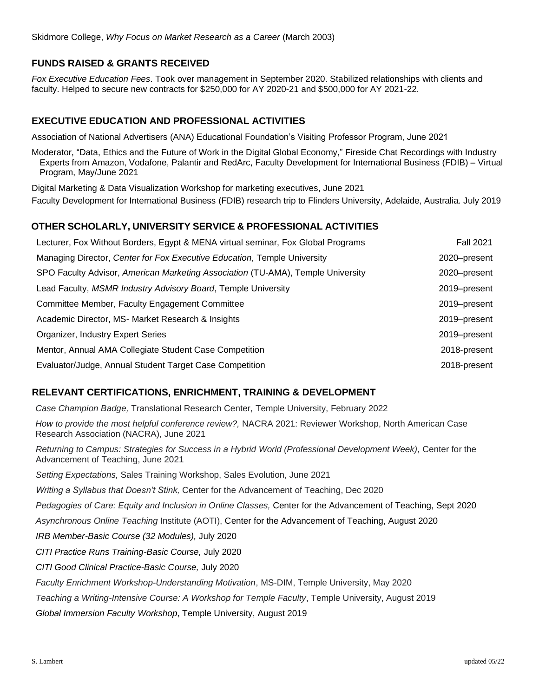# **FUNDS RAISED & GRANTS RECEIVED**

*Fox Executive Education Fees*. Took over management in September 2020. Stabilized relationships with clients and faculty. Helped to secure new contracts for \$250,000 for AY 2020-21 and \$500,000 for AY 2021-22.

### **EXECUTIVE EDUCATION AND PROFESSIONAL ACTIVITIES**

Association of National Advertisers (ANA) Educational Foundation's Visiting Professor Program, June 2021

Moderator, "Data, Ethics and the Future of Work in the Digital Global Economy," Fireside Chat Recordings with Industry Experts from Amazon, Vodafone, Palantir and RedArc, Faculty Development for International Business (FDIB) – Virtual Program, May/June 2021

Digital Marketing & Data Visualization Workshop for marketing executives, June 2021

Faculty Development for International Business (FDIB) research trip to Flinders University, Adelaide, Australia. July 2019

#### **OTHER SCHOLARLY, UNIVERSITY SERVICE & PROFESSIONAL ACTIVITIES**

| Lecturer, Fox Without Borders, Egypt & MENA virtual seminar, Fox Global Programs | <b>Fall 2021</b> |
|----------------------------------------------------------------------------------|------------------|
| Managing Director, Center for Fox Executive Education, Temple University         | 2020-present     |
| SPO Faculty Advisor, American Marketing Association (TU-AMA), Temple University  | 2020-present     |
| Lead Faculty, MSMR Industry Advisory Board, Temple University                    | 2019–present     |
| Committee Member, Faculty Engagement Committee                                   | 2019–present     |
| Academic Director, MS- Market Research & Insights                                | 2019–present     |
| Organizer, Industry Expert Series                                                | 2019–present     |
| Mentor, Annual AMA Collegiate Student Case Competition                           | 2018-present     |
| Evaluator/Judge, Annual Student Target Case Competition                          | 2018-present     |

### **RELEVANT CERTIFICATIONS, ENRICHMENT, TRAINING & DEVELOPMENT**

*Case Champion Badge,* Translational Research Center, Temple University, February 2022

*How to provide the most helpful conference review?,* NACRA 2021: Reviewer Workshop, North American Case Research Association (NACRA), June 2021

*Returning to Campus: Strategies for Success in a Hybrid World (Professional Development Week), Center for the* Advancement of Teaching, June 2021

*Setting Expectations,* Sales Training Workshop, Sales Evolution, June 2021

*Writing a Syllabus that Doesn't Stink,* Center for the Advancement of Teaching, Dec 2020

*Pedagogies of Care: Equity and Inclusion in Online Classes,* Center for the Advancement of Teaching, Sept 2020

*Asynchronous Online Teaching* Institute (AOTI), Center for the Advancement of Teaching, August 2020

*IRB Member-Basic Course (32 Modules),* July 2020

*CITI Practice Runs Training-Basic Course,* July 2020

*CITI Good Clinical Practice-Basic Course,* July 2020

*Faculty Enrichment Workshop-Understanding Motivation*, MS-DIM, Temple University, May 2020

*Teaching a Writing-Intensive Course: A Workshop for Temple Faculty*, Temple University, August 2019

*Global Immersion Faculty Workshop*, Temple University, August 2019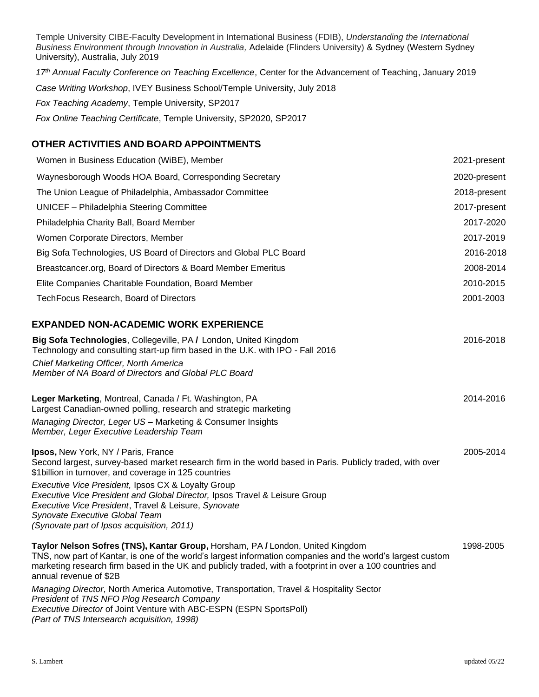Temple University CIBE-Faculty Development in International Business (FDIB), *Understanding the International Business Environment through Innovation in Australia,* Adelaide (Flinders University) & Sydney (Western Sydney University), Australia, July 2019

*17th Annual Faculty Conference on Teaching Excellence*, Center for the Advancement of Teaching, January 2019 *Case Writing Workshop*, IVEY Business School/Temple University, July 2018 *Fox Teaching Academy*, Temple University, SP2017 *Fox Online Teaching Certificate*, Temple University, SP2020, SP2017

# **OTHER ACTIVITIES AND BOARD APPOINTMENTS**

| Women in Business Education (WiBE), Member                                                                                                                                                                                                                                                                                           | 2021-present |
|--------------------------------------------------------------------------------------------------------------------------------------------------------------------------------------------------------------------------------------------------------------------------------------------------------------------------------------|--------------|
| Waynesborough Woods HOA Board, Corresponding Secretary                                                                                                                                                                                                                                                                               | 2020-present |
| The Union League of Philadelphia, Ambassador Committee                                                                                                                                                                                                                                                                               | 2018-present |
| <b>UNICEF</b> - Philadelphia Steering Committee                                                                                                                                                                                                                                                                                      | 2017-present |
| Philadelphia Charity Ball, Board Member                                                                                                                                                                                                                                                                                              | 2017-2020    |
| Women Corporate Directors, Member                                                                                                                                                                                                                                                                                                    | 2017-2019    |
| Big Sofa Technologies, US Board of Directors and Global PLC Board                                                                                                                                                                                                                                                                    | 2016-2018    |
| Breastcancer.org, Board of Directors & Board Member Emeritus                                                                                                                                                                                                                                                                         | 2008-2014    |
| Elite Companies Charitable Foundation, Board Member                                                                                                                                                                                                                                                                                  | 2010-2015    |
| TechFocus Research, Board of Directors                                                                                                                                                                                                                                                                                               | 2001-2003    |
| <b>EXPANDED NON-ACADEMIC WORK EXPERIENCE</b>                                                                                                                                                                                                                                                                                         |              |
| Big Sofa Technologies, Collegeville, PA / London, United Kingdom<br>Technology and consulting start-up firm based in the U.K. with IPO - Fall 2016                                                                                                                                                                                   | 2016-2018    |
| Chief Marketing Officer, North America<br>Member of NA Board of Directors and Global PLC Board                                                                                                                                                                                                                                       |              |
| Leger Marketing, Montreal, Canada / Ft. Washington, PA<br>Largest Canadian-owned polling, research and strategic marketing                                                                                                                                                                                                           | 2014-2016    |
| Managing Director, Leger US - Marketing & Consumer Insights<br>Member, Leger Executive Leadership Team                                                                                                                                                                                                                               |              |
| Ipsos, New York, NY / Paris, France<br>Second largest, survey-based market research firm in the world based in Paris. Publicly traded, with over<br>\$1billion in turnover, and coverage in 125 countries                                                                                                                            | 2005-2014    |
| Executive Vice President, Ipsos CX & Loyalty Group<br>Executive Vice President and Global Director, Ipsos Travel & Leisure Group<br>Executive Vice President, Travel & Leisure, Synovate<br>Synovate Executive Global Team                                                                                                           |              |
| (Synovate part of Ipsos acquisition, 2011)                                                                                                                                                                                                                                                                                           |              |
| Taylor Nelson Sofres (TNS), Kantar Group, Horsham, PA / London, United Kingdom<br>TNS, now part of Kantar, is one of the world's largest information companies and the world's largest custom<br>marketing research firm based in the UK and publicly traded, with a footprint in over a 100 countries and<br>annual revenue of \$2B | 1998-2005    |
|                                                                                                                                                                                                                                                                                                                                      |              |

*Managing Director*, North America Automotive, Transportation, Travel & Hospitality Sector *President* of *TNS NFO Plog Research Company Executive Director* of Joint Venture with ABC-ESPN (ESPN SportsPoll) *(Part of TNS Intersearch acquisition, 1998)*